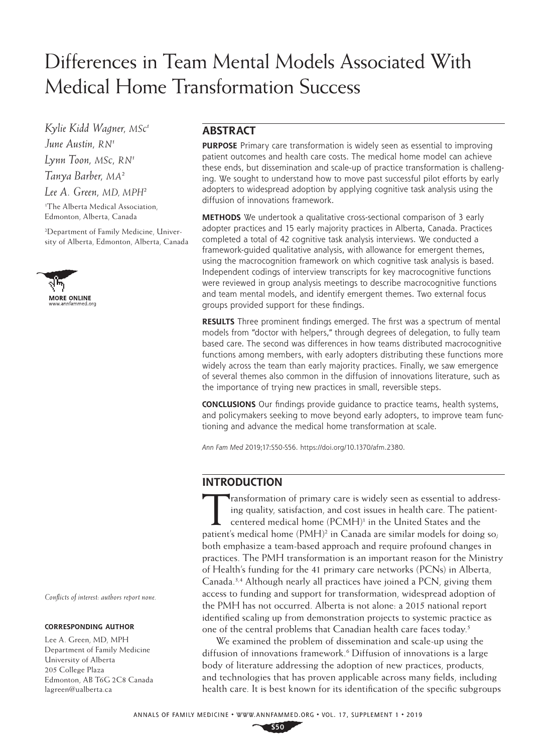# Differences in Team Mental Models Associated With Medical Home Transformation Success

*Kylie Kidd Wagner, MSc 1 June Austin, RN1 Lynn Toon, MSc, RN1 Tanya Barber, MA2 Lee A. Green, MD, MPH2*

1 The Alberta Medical Association, Edmonton, Alberta, Canada

2 Department of Family Medicine, Univer[sity of Alberta, E](http://www.annfammed.org)dmonton, Alberta, Canada



*Conflicts of interest: authors report none.*

#### **CORRESPONDING AUTHOR**

Lee A. Green, MD, MPH Department of Family Medicine University of Alberta 205 College Plaza Edmonton, AB T6G 2C8 Canada [lagreen@ualberta.ca](mailto:lagreen@ualberta.ca)

# **ABSTRACT**

**PURPOSE** Primary care transformation is widely seen as essential to improving patient outcomes and health care costs. The medical home model can achieve these ends, but dissemination and scale-up of practice transformation is challenging. We sought to understand how to move past successful pilot efforts by early adopters to widespread adoption by applying cognitive task analysis using the diffusion of innovations framework.

**METHODS** We undertook a qualitative cross-sectional comparison of 3 early adopter practices and 15 early majority practices in Alberta, Canada. Practices completed a total of 42 cognitive task analysis interviews. We conducted a framework-guided qualitative analysis, with allowance for emergent themes, using the macrocognition framework on which cognitive task analysis is based. Independent codings of interview transcripts for key macrocognitive functions were reviewed in group analysis meetings to describe macrocognitive functions and team mental models, and identify emergent themes. Two external focus groups provided support for these findings.

**RESULTS** Three prominent findings emerged. The first was a spectrum of mental models from "doctor with helpers," through degrees of delegation, to fully team based care. The second was differences in how teams distributed macrocognitive functions among members, with early adopters distributing these functions more widely across the team than early majority practices. Finally, we saw emergence of several themes also common in the diffusion of innovations literature, such as the importance of trying new practices in small, reversible steps.

**CONCLUSIONS** Our findings provide guidance to practice teams, health systems, and policymakers seeking to move beyond early adopters, to improve team functioning and advance the medical home transformation at scale.

*Ann Fam Med* 2019;17:S50-S56. [https://doi.org/10.1370/afm.2380.](https://doi.org/10.1370/afm.2380)

## **INTRODUCTION**

Transformation of primary care is widely seen as essential to addressing quality, satisfaction, and cost issues in health care. The patientcentered medical home (PCMH)<sup>1</sup> in the United States and the patient's medical home  $(PMH)^2$  in Canada are similar models for doing so; both emphasize a team-based approach and require profound changes in practices. The PMH transformation is an important reason for the Ministry of Health's funding for the 41 primary care networks (PCNs) in Alberta, Canada.3,4 Although nearly all practices have joined a PCN, giving them access to funding and support for transformation, widespread adoption of the PMH has not occurred. Alberta is not alone: a 2015 national report identified scaling up from demonstration projects to systemic practice as one of the central problems that Canadian health care faces today.5

We examined the problem of dissemination and scale-up using the diffusion of innovations framework.<sup>6</sup> Diffusion of innovations is a large body of literature addressing the adoption of new practices, products, and technologies that has proven applicable across many fields, including health care. It is best known for its identification of the specific subgroups

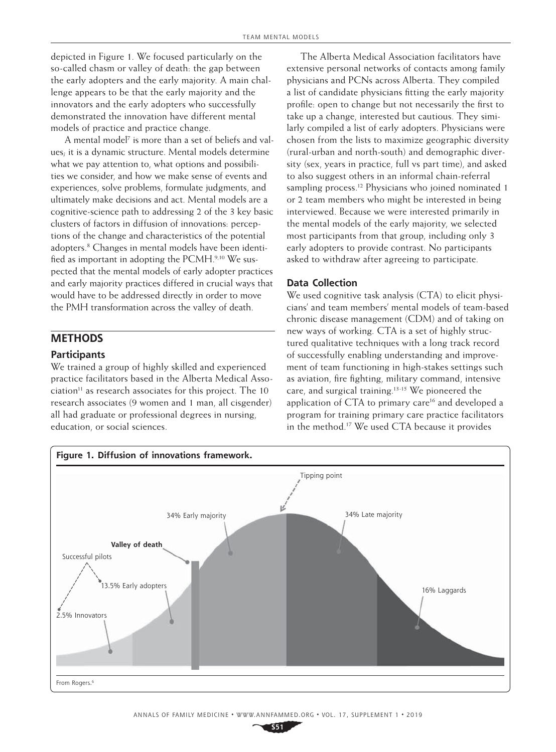depicted in Figure 1. We focused particularly on the so-called chasm or valley of death: the gap between the early adopters and the early majority. A main challenge appears to be that the early majority and the innovators and the early adopters who successfully demonstrated the innovation have different mental models of practice and practice change.

A mental model<sup>7</sup> is more than a set of beliefs and values; it is a dynamic structure. Mental models determine what we pay attention to, what options and possibilities we consider, and how we make sense of events and experiences, solve problems, formulate judgments, and ultimately make decisions and act. Mental models are a cognitive-science path to addressing 2 of the 3 key basic clusters of factors in diffusion of innovations: perceptions of the change and characteristics of the potential adopters.8 Changes in mental models have been identified as important in adopting the PCMH.<sup>9,10</sup> We suspected that the mental models of early adopter practices and early majority practices differed in crucial ways that would have to be addressed directly in order to move the PMH transformation across the valley of death.

# **METHODS**

### **Participants**

We trained a group of highly skilled and experienced practice facilitators based in the Alberta Medical Asso $ciation<sup>11</sup>$  as research associates for this project. The 10 research associates (9 women and 1 man, all cisgender) all had graduate or professional degrees in nursing, education, or social sciences.

The Alberta Medical Association facilitators have extensive personal networks of contacts among family physicians and PCNs across Alberta. They compiled a list of candidate physicians fitting the early majority profile: open to change but not necessarily the first to take up a change, interested but cautious. They similarly compiled a list of early adopters. Physicians were chosen from the lists to maximize geographic diversity (rural-urban and north-south) and demographic diversity (sex, years in practice, full vs part time), and asked to also suggest others in an informal chain-referral sampling process.<sup>12</sup> Physicians who joined nominated 1 or 2 team members who might be interested in being interviewed. Because we were interested primarily in the mental models of the early majority, we selected most participants from that group, including only 3 early adopters to provide contrast. No participants asked to withdraw after agreeing to participate.

#### **Data Collection**

We used cognitive task analysis (CTA) to elicit physicians' and team members' mental models of team-based chronic disease management (CDM) and of taking on new ways of working. CTA is a set of highly structured qualitative techniques with a long track record of successfully enabling understanding and improvement of team functioning in high-stakes settings such as aviation, fire fighting, military command, intensive care, and surgical training.<sup>13-15</sup> We pioneered the application of CTA to primary care<sup>16</sup> and developed a program for training primary care practice facilitators in the method.17 We used CTA because it provides

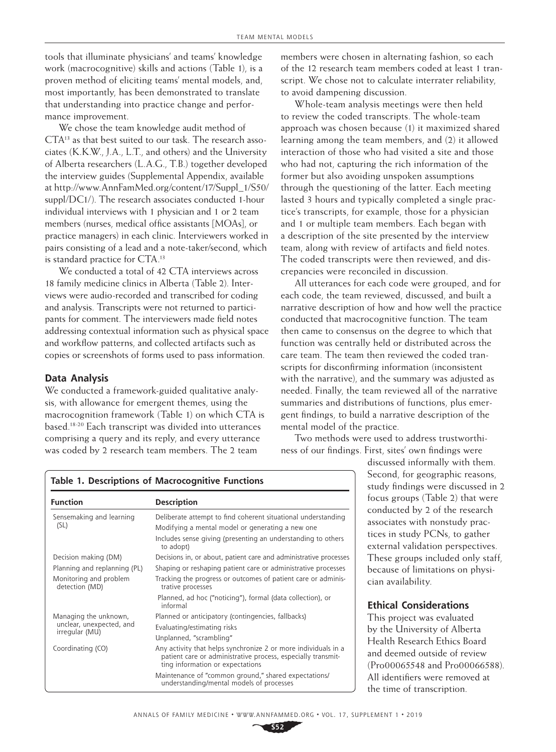tools that illuminate physicians' and teams' knowledge work (macrocognitive) skills and actions (Table 1), is a proven method of eliciting teams' mental models, and, most importantly, has been demonstrated to translate that understanding into practice change and performance improvement.

We chose the team knowledge audit method of CTA13 as that best suited to our task. The research associates (K.K.W., J.A., L.T., and others) and the University of Alberta researchers (L.A.G., T.B.) together developed the interview guides (Supplemental Appendix, available at [http://www.AnnFamMed.org/content/17/Suppl\\_1/S50/](http://www.AnnFamMed.org/content/17/Suppl_1/S50/suppl/DC1/) [suppl/DC1/](http://www.AnnFamMed.org/content/17/Suppl_1/S50/suppl/DC1/)). The research associates conducted 1-hour individual interviews with 1 physician and 1 or 2 team members (nurses, medical office assistants [MOAs], or practice managers) in each clinic. Interviewers worked in pairs consisting of a lead and a note-taker/second, which is standard practice for CTA.13

We conducted a total of 42 CTA interviews across 18 family medicine clinics in Alberta (Table 2). Interviews were audio-recorded and transcribed for coding and analysis. Transcripts were not returned to participants for comment. The interviewers made field notes addressing contextual information such as physical space and workflow patterns, and collected artifacts such as copies or screenshots of forms used to pass information.

### **Data Analysis**

We conducted a framework-guided qualitative analysis, with allowance for emergent themes, using the macrocognition framework (Table 1) on which CTA is based.18-20 Each transcript was divided into utterances comprising a query and its reply, and every utterance was coded by 2 research team members. The 2 team

**Table 1. Descriptions of Macrocognitive Functions**

members were chosen in alternating fashion, so each of the 12 research team members coded at least 1 transcript. We chose not to calculate interrater reliability, to avoid dampening discussion.

Whole-team analysis meetings were then held to review the coded transcripts. The whole-team approach was chosen because (1) it maximized shared learning among the team members, and (2) it allowed interaction of those who had visited a site and those who had not, capturing the rich information of the former but also avoiding unspoken assumptions through the questioning of the latter. Each meeting lasted 3 hours and typically completed a single practice's transcripts, for example, those for a physician and 1 or multiple team members. Each began with a description of the site presented by the interview team, along with review of artifacts and field notes. The coded transcripts were then reviewed, and discrepancies were reconciled in discussion.

All utterances for each code were grouped, and for each code, the team reviewed, discussed, and built a narrative description of how and how well the practice conducted that macrocognitive function. The team then came to consensus on the degree to which that function was centrally held or distributed across the care team. The team then reviewed the coded transcripts for disconfirming information (inconsistent with the narrative), and the summary was adjusted as needed. Finally, the team reviewed all of the narrative summaries and distributions of functions, plus emergent findings, to build a narrative description of the mental model of the practice.

Two methods were used to address trustworthiness of our findings. First, sites' own findings were

> discussed informally with them. Second, for geographic reasons, study findings were discussed in 2 focus groups (Table 2) that were conducted by 2 of the research associates with nonstudy practices in study PCNs, to gather external validation perspectives. These groups included only staff, because of limitations on physician availability.

## **Ethical Considerations**

This project was evaluated by the University of Alberta Health Research Ethics Board and deemed outside of review (Pro00065548 and Pro00066588). All identifiers were removed at the time of transcription.

understanding/mental models of processes

| <b>Function</b>                                                     | <b>Description</b>                                                                                                                                                 |
|---------------------------------------------------------------------|--------------------------------------------------------------------------------------------------------------------------------------------------------------------|
| Sensemaking and learning<br>(SL)                                    | Deliberate attempt to find coherent situational understanding                                                                                                      |
|                                                                     | Modifying a mental model or generating a new one                                                                                                                   |
|                                                                     | Includes sense giving (presenting an understanding to others<br>to adopt)                                                                                          |
| Decision making (DM)                                                | Decisions in, or about, patient care and administrative processes                                                                                                  |
| Planning and replanning (PL)                                        | Shaping or reshaping patient care or administrative processes                                                                                                      |
| Monitoring and problem<br>detection (MD)                            | Tracking the progress or outcomes of patient care or adminis-<br>trative processes                                                                                 |
|                                                                     | Planned, ad hoc ("noticing"), formal (data collection), or<br>informal                                                                                             |
| Managing the unknown,<br>unclear, unexpected, and<br>irregular (MU) | Planned or anticipatory (contingencies, fallbacks)                                                                                                                 |
|                                                                     | Evaluating/estimating risks                                                                                                                                        |
|                                                                     | Unplanned, "scrambling"                                                                                                                                            |
| Coordinating (CO)                                                   | Any activity that helps synchronize 2 or more individuals in a<br>patient care or administrative process, especially transmit-<br>ting information or expectations |
|                                                                     | Maintenance of "common ground," shared expectations/                                                                                                               |

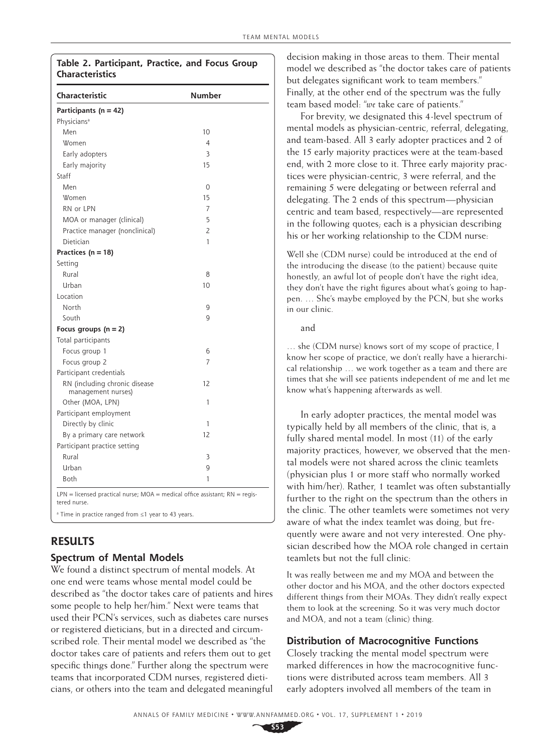## **Table 2. Participant, Practice, and Focus Group Characteristics**

| Characteristic                                                                                | <b>Number</b>  |
|-----------------------------------------------------------------------------------------------|----------------|
| Participants (n = 42)                                                                         |                |
| Physicians <sup>a</sup>                                                                       |                |
| Men                                                                                           | 10             |
| Women                                                                                         | 4              |
| Early adopters                                                                                | 3              |
| Early majority                                                                                | 15             |
| Staff                                                                                         |                |
| Men                                                                                           | 0              |
| Women                                                                                         | 15             |
| RN or LPN                                                                                     | 7              |
| MOA or manager (clinical)                                                                     | 5              |
| Practice manager (nonclinical)                                                                | $\overline{2}$ |
| Dietician                                                                                     | 1              |
| Practices ( $n = 18$ )                                                                        |                |
| Setting                                                                                       |                |
| Rural                                                                                         | 8              |
| Urban                                                                                         | 10             |
| Location                                                                                      |                |
| North                                                                                         | 9              |
| South                                                                                         | $\mathsf{Q}$   |
| Focus groups $(n = 2)$                                                                        |                |
| Total participants                                                                            |                |
| Focus group 1                                                                                 | 6              |
| Focus group 2                                                                                 | 7              |
| Participant credentials                                                                       |                |
| RN (including chronic disease<br>management nurses)                                           | 12             |
| Other (MOA, LPN)                                                                              | 1              |
| Participant employment                                                                        |                |
| Directly by clinic                                                                            | 1              |
| By a primary care network                                                                     | 12             |
| Participant practice setting                                                                  |                |
| Rural                                                                                         | 3              |
| Urban                                                                                         | 9              |
| Both                                                                                          | 1              |
| $LPN$ = licensed practical nurse; MOA = medical office assistant; RN = regis-<br>tered nurse. |                |
| <sup>a</sup> Time in practice ranged from ≤1 year to 43 years.                                |                |

# **RESULTS**

## **Spectrum of Mental Models**

We found a distinct spectrum of mental models. At one end were teams whose mental model could be described as "the doctor takes care of patients and hires some people to help her/him." Next were teams that used their PCN's services, such as diabetes care nurses or registered dieticians, but in a directed and circumscribed role. Their mental model we described as "the doctor takes care of patients and refers them out to get specific things done." Further along the spectrum were teams that incorporated CDM nurses, registered dieticians, or others into the team and delegated meaningful decision making in those areas to them. Their mental model we described as "the doctor takes care of patients but delegates significant work to team members." Finally, at the other end of the spectrum was the fully team based model: "*we* take care of patients."

For brevity, we designated this 4-level spectrum of mental models as physician-centric, referral, delegating, and team-based. All 3 early adopter practices and 2 of the 15 early majority practices were at the team-based end, with 2 more close to it. Three early majority practices were physician-centric, 3 were referral, and the remaining 5 were delegating or between referral and delegating. The 2 ends of this spectrum—physician centric and team based, respectively—are represented in the following quotes; each is a physician describing his or her working relationship to the CDM nurse:

Well she (CDM nurse) could be introduced at the end of the introducing the disease (to the patient) because quite honestly, an awful lot of people don't have the right idea, they don't have the right figures about what's going to happen. … She's maybe employed by the PCN, but she works in our clinic.

and

… she (CDM nurse) knows sort of my scope of practice, I know her scope of practice, we don't really have a hierarchical relationship … we work together as a team and there are times that she will see patients independent of me and let me know what's happening afterwards as well.

In early adopter practices, the mental model was typically held by all members of the clinic, that is, a fully shared mental model. In most (11) of the early majority practices, however, we observed that the mental models were not shared across the clinic teamlets (physician plus 1 or more staff who normally worked with him/her). Rather, 1 teamlet was often substantially further to the right on the spectrum than the others in the clinic. The other teamlets were sometimes not very aware of what the index teamlet was doing, but frequently were aware and not very interested. One physician described how the MOA role changed in certain teamlets but not the full clinic:

It was really between me and my MOA and between the other doctor and his MOA, and the other doctors expected different things from their MOAs. They didn't really expect them to look at the screening. So it was very much doctor and MOA, and not a team (clinic) thing.

## **Distribution of Macrocognitive Functions**

Closely tracking the mental model spectrum were marked differences in how the macrocognitive functions were distributed across team members. All 3 early adopters involved all members of the team in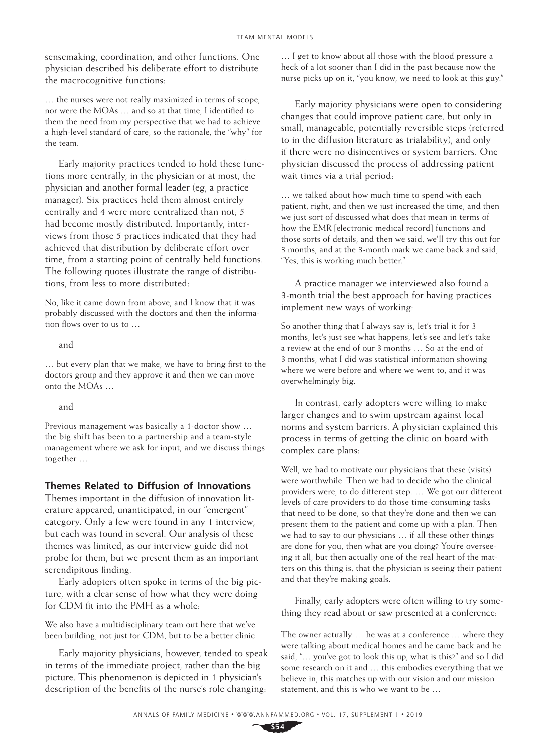sensemaking, coordination, and other functions. One physician described his deliberate effort to distribute the macrocognitive functions:

… the nurses were not really maximized in terms of scope, nor were the MOAs … and so at that time, I identified to them the need from my perspective that we had to achieve a high-level standard of care, so the rationale, the "why" for the team.

Early majority practices tended to hold these functions more centrally, in the physician or at most, the physician and another formal leader (eg, a practice manager). Six practices held them almost entirely centrally and 4 were more centralized than not; 5 had become mostly distributed. Importantly, interviews from those 5 practices indicated that they had achieved that distribution by deliberate effort over time, from a starting point of centrally held functions. The following quotes illustrate the range of distributions, from less to more distributed:

No, like it came down from above, and I know that it was probably discussed with the doctors and then the information flows over to us to …

and

… but every plan that we make, we have to bring first to the doctors group and they approve it and then we can move onto the MOAs …

#### and

Previous management was basically a 1-doctor show … the big shift has been to a partnership and a team-style management where we ask for input, and we discuss things together …

## **Themes Related to Diffusion of Innovations**

Themes important in the diffusion of innovation literature appeared, unanticipated, in our "emergent" category. Only a few were found in any 1 interview, but each was found in several. Our analysis of these themes was limited, as our interview guide did not probe for them, but we present them as an important serendipitous finding.

Early adopters often spoke in terms of the big picture, with a clear sense of how what they were doing for CDM fit into the PMH as a whole:

We also have a multidisciplinary team out here that we've been building, not just for CDM, but to be a better clinic.

Early majority physicians, however, tended to speak in terms of the immediate project, rather than the big picture. This phenomenon is depicted in 1 physician's description of the benefits of the nurse's role changing:

… I get to know about all those with the blood pressure a heck of a lot sooner than I did in the past because now the nurse picks up on it, "you know, we need to look at this guy."

Early majority physicians were open to considering changes that could improve patient care, but only in small, manageable, potentially reversible steps (referred to in the diffusion literature as trialability), and only if there were no disincentives or system barriers. One physician discussed the process of addressing patient wait times via a trial period:

… we talked about how much time to spend with each patient, right, and then we just increased the time, and then we just sort of discussed what does that mean in terms of how the EMR [electronic medical record] functions and those sorts of details, and then we said, we'll try this out for 3 months, and at the 3-month mark we came back and said, "Yes, this is working much better."

A practice manager we interviewed also found a 3-month trial the best approach for having practices implement new ways of working:

So another thing that I always say is, let's trial it for 3 months, let's just see what happens, let's see and let's take a review at the end of our 3 months … So at the end of 3 months, what I did was statistical information showing where we were before and where we went to, and it was overwhelmingly big.

In contrast, early adopters were willing to make larger changes and to swim upstream against local norms and system barriers. A physician explained this process in terms of getting the clinic on board with complex care plans:

Well, we had to motivate our physicians that these (visits) were worthwhile. Then we had to decide who the clinical providers were, to do different step. … We got our different levels of care providers to do those time-consuming tasks that need to be done, so that they're done and then we can present them to the patient and come up with a plan. Then we had to say to our physicians … if all these other things are done for you, then what are you doing? You're overseeing it all, but then actually one of the real heart of the matters on this thing is, that the physician is seeing their patient and that they're making goals.

Finally, early adopters were often willing to try something they read about or saw presented at a conference:

The owner actually … he was at a conference … where they were talking about medical homes and he came back and he said, "… you've got to look this up, what is this?" and so I did some research on it and … this embodies everything that we believe in, this matches up with our vision and our mission statement, and this is who we want to be …

ANNALS OF FAMILY MEDICINE ✦ <WWW.ANNFAMMED.ORG>✦ VOL. 17, SUPPLEMENT 1 ✦ 2019

**S54**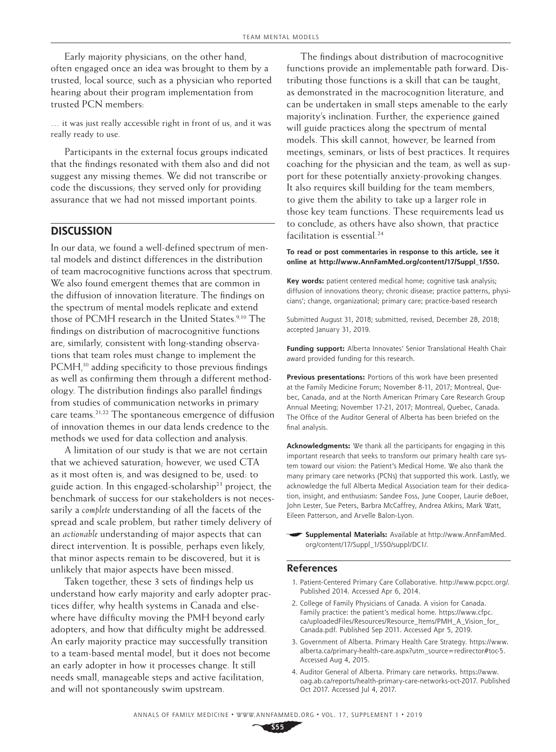Early majority physicians, on the other hand, often engaged once an idea was brought to them by a trusted, local source, such as a physician who reported hearing about their program implementation from trusted PCN members:

… it was just really accessible right in front of us, and it was really ready to use.

Participants in the external focus groups indicated that the findings resonated with them also and did not suggest any missing themes. We did not transcribe or code the discussions; they served only for providing assurance that we had not missed important points.

## **DISCUSSION**

In our data, we found a well-defined spectrum of mental models and distinct differences in the distribution of team macrocognitive functions across that spectrum. We also found emergent themes that are common in the diffusion of innovation literature. The findings on the spectrum of mental models replicate and extend those of PCMH research in the United States.<sup>9,10</sup> The findings on distribution of macrocognitive functions are, similarly, consistent with long-standing observations that team roles must change to implement the PCMH,<sup>10</sup> adding specificity to those previous findings as well as confirming them through a different methodology. The distribution findings also parallel findings from studies of communication networks in primary care teams.21,22 The spontaneous emergence of diffusion of innovation themes in our data lends credence to the methods we used for data collection and analysis.

A limitation of our study is that we are not certain that we achieved saturation; however, we used CTA as it most often is, and was designed to be, used: to guide action. In this engaged-scholarship<sup>23</sup> project, the benchmark of success for our stakeholders is not necessarily a *complete* understanding of all the facets of the spread and scale problem, but rather timely delivery of an *actionable* understanding of major aspects that can direct intervention. It is possible, perhaps even likely, that minor aspects remain to be discovered, but it is unlikely that major aspects have been missed.

Taken together, these 3 sets of findings help us understand how early majority and early adopter practices differ, why health systems in Canada and elsewhere have difficulty moving the PMH beyond early adopters, and how that difficulty might be addressed. An early majority practice may successfully transition to a team-based mental model, but it does not become an early adopter in how it processes change. It still needs small, manageable steps and active facilitation, and will not spontaneously swim upstream.

The findings about distribution of macrocognitive functions provide an implementable path forward. Distributing those functions is a skill that can be taught, as demonstrated in the macrocognition literature, and can be undertaken in small steps amenable to the early majority's inclination. Further, the experience gained will guide practices along the spectrum of mental models. This skill cannot, however, be learned from meetings, seminars, or lists of best practices. It requires coaching for the physician and the team, as well as support for these potentially anxiety-provoking changes. It also requires skill building for the team members, to give them the ability to take up a larger role in those key team functions. These requirements lead us to conclude, as others have also shown, that practice facilitation is essential.<sup>24</sup>

#### **To read or post commentaries in response to this article, see it online at [http://www.AnnFamMed.org/content/17/Suppl\\_1/S50](http://www.AnnFamMed.org/content/17/Suppl_1/S50).**

**Key words:** patient centered medical home; cognitive task analysis; diffusion of innovations theory; chronic disease; practice patterns, physicians'; change, organizational; primary care; practice-based research

Submitted August 31, 2018; submitted, revised, December 28, 2018; accepted January 31, 2019.

**Funding support:** Alberta Innovates' Senior Translational Health Chair award provided funding for this research.

**Previous presentations:** Portions of this work have been presented at the Family Medicine Forum; November 8-11, 2017; Montreal, Quebec, Canada, and at the North American Primary Care Research Group Annual Meeting; November 17-21, 2017; Montreal, Quebec, Canada. The Office of the Auditor General of Alberta has been briefed on the final analysis.

**Acknowledgments:** We thank all the participants for engaging in this important research that seeks to transform our primary health care system toward our vision: the Patient's Medical Home. We also thank the many primary care networks (PCNs) that supported this work. Lastly, we acknowledge the full Alberta Medical Association team for their dedication, insight, and enthusiasm: Sandee Foss, June Cooper, Laurie deBoer, John Lester, Sue Peters, Barbra McCaffrey, Andrea Atkins, Mark Watt, Eileen Patterson, and Arvelle Balon-Lyon.

**Supplemental Materials:** Available at [http://www.AnnFamMed.](http://www.AnnFamMed.org/content/17/Suppl_1/S50/suppl/DC1/) [org/content/17/Suppl\\_1/S50/suppl/DC1/.](http://www.AnnFamMed.org/content/17/Suppl_1/S50/suppl/DC1/)

#### **References**

- 1. Patient-Centered Primary Care Collaborative. [http://www.pcpcc.org/.](http:​//www.pcpcc.org/) Published 2014. Accessed Apr 6, 2014.
- 2. College of Family Physicians of Canada. A vision for Canada. Family practice: the patient's medical home. [https://www.cfpc.](https://www.cfpc.ca/uploadedFiles/Resources/Resource_Items/PMH_A_Vision_for_Canada.pdf) [ca/uploadedFiles/Resources/Resource\\_Items/PMH\\_A\\_Vision\\_for\\_](https://www.cfpc.ca/uploadedFiles/Resources/Resource_Items/PMH_A_Vision_for_Canada.pdf) [Canada.pdf.](https://www.cfpc.ca/uploadedFiles/Resources/Resource_Items/PMH_A_Vision_for_Canada.pdf) Published Sep 2011. Accessed Apr 5, 2019.
- 3. Government of Alberta. Primary Health Care Strategy. [https://www.](https://www.alberta.ca/primary-health-care.aspx?utm_source=redirector#toc-5) [alberta.ca/primary-health-care.aspx?utm\\_source=redirector#toc-5.](https://www.alberta.ca/primary-health-care.aspx?utm_source=redirector#toc-5) Accessed Aug 4, 2015.
- 4. Auditor General of Alberta. Primary care networks. [https://www.](https://www.oag.ab.ca/reports/health-primary-care-networks-oct-2017) [oag.ab.ca/reports/health-primary-care-networks-oct-2017](https://www.oag.ab.ca/reports/health-primary-care-networks-oct-2017). Published Oct 2017. Accessed Jul 4, 2017.